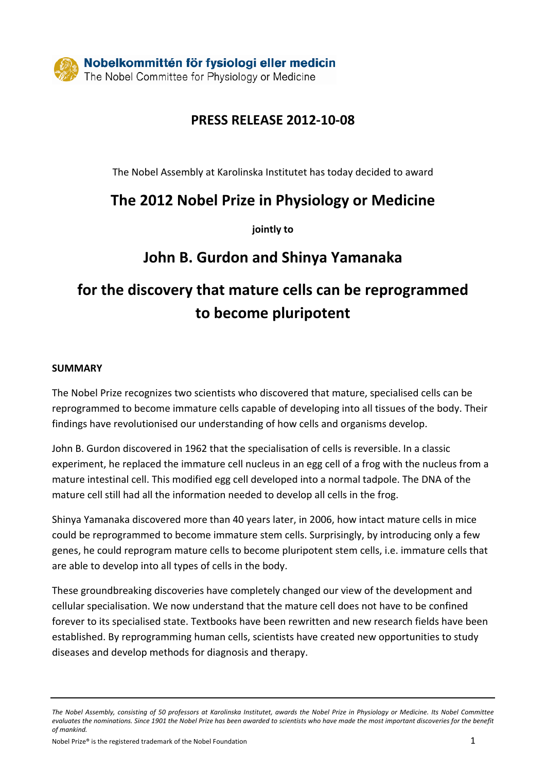### **PRESS RELEASE 2012-10-08**

The Nobel Assembly at Karolinska Institutet has today decided to award

## **The 2012 Nobel Prize in Physiology or Medicine**

**jointly to**

## **John B. Gurdon and Shinya Yamanaka**

## **for the discovery that mature cells can be reprogrammed to become pluripotent**

#### **SUMMARY**

The Nobel Prize recognizes two scientists who discovered that mature, specialised cells can be reprogrammed to become immature cells capable of developing into all tissues of the body. Their findings have revolutionised our understanding of how cells and organisms develop.

John B. Gurdon discovered in 1962 that the specialisation of cells is reversible. In a classic experiment, he replaced the immature cell nucleus in an egg cell of a frog with the nucleus from a mature intestinal cell. This modified egg cell developed into a normal tadpole. The DNA of the mature cell still had all the information needed to develop all cells in the frog.

Shinya Yamanaka discovered more than 40 years later, in 2006, how intact mature cells in mice could be reprogrammed to become immature stem cells. Surprisingly, by introducing only a few genes, he could reprogram mature cells to become pluripotent stem cells, i.e. immature cells that are able to develop into all types of cells in the body.

These groundbreaking discoveries have completely changed our view of the development and cellular specialisation. We now understand that the mature cell does not have to be confined forever to its specialised state. Textbooks have been rewritten and new research fields have been established. By reprogramming human cells, scientists have created new opportunities to study diseases and develop methods for diagnosis and therapy.

*The Nobel Assembly, consisting of 50 professors at Karolinska Institutet, awards the Nobel Prize in Physiology or Medicine. Its Nobel Committee evaluates the nominations. Since 1901 the Nobel Prize has been awarded to scientists who have made the most important discoveries for the benefit of mankind.*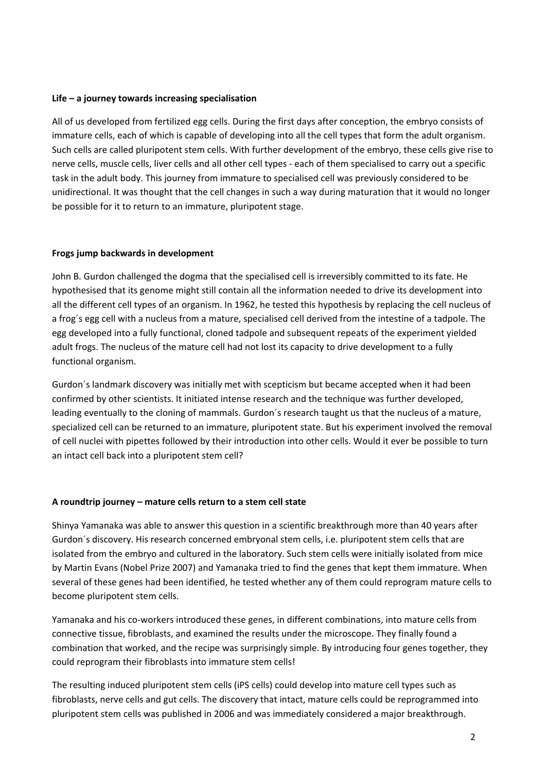#### **Life – a journey towards increasing specialisation**

All of us developed from fertilized egg cells. During the first days after conception, the embryo consists of immature cells, each of which is capable of developing into all the cell types that form the adult organism. Such cells are called pluripotent stem cells. With further development of the embryo, these cells give rise to nerve cells, muscle cells, liver cells and all other cell types - each of them specialised to carry out a specific task in the adult body. This journey from immature to specialised cell was previously considered to be unidirectional. It was thought that the cell changes in such a way during maturation that it would no longer be possible for it to return to an immature, pluripotent stage.

#### **Frogs jump backwards in development**

John B. Gurdon challenged the dogma that the specialised cell is irreversibly committed to its fate. He hypothesised that its genome might still contain all the information needed to drive its development into all the different cell types of an organism. In 1962, he tested this hypothesis by replacing the cell nucleus of a frog´s egg cell with a nucleus from a mature, specialised cell derived from the intestine of a tadpole. The egg developed into a fully functional, cloned tadpole and subsequent repeats of the experiment yielded adult frogs. The nucleus of the mature cell had not lost its capacity to drive development to a fully functional organism.

Gurdon´s landmark discovery was initially met with scepticism but became accepted when it had been confirmed by other scientists. It initiated intense research and the technique was further developed, leading eventually to the cloning of mammals. Gurdon´s research taught us that the nucleus of a mature, specialized cell can be returned to an immature, pluripotent state. But his experiment involved the removal of cell nuclei with pipettes followed by their introduction into other cells. Would it ever be possible to turn an intact cell back into a pluripotent stem cell?

#### **A roundtrip journey – mature cells return to a stem cell state**

Shinya Yamanaka was able to answer this question in a scientific breakthrough more than 40 years after Gurdon´s discovery. His research concerned embryonal stem cells, i.e. pluripotent stem cells that are isolated from the embryo and cultured in the laboratory. Such stem cells were initially isolated from mice by Martin Evans (Nobel Prize 2007) and Yamanaka tried to find the genes that kept them immature. When several of these genes had been identified, he tested whether any of them could reprogram mature cells to become pluripotent stem cells.

Yamanaka and his co-workers introduced these genes, in different combinations, into mature cells from connective tissue, fibroblasts, and examined the results under the microscope. They finally found a combination that worked, and the recipe was surprisingly simple. By introducing four genes together, they could reprogram their fibroblasts into immature stem cells!

The resulting induced pluripotent stem cells (iPS cells) could develop into mature cell types such as fibroblasts, nerve cells and gut cells. The discovery that intact, mature cells could be reprogrammed into pluripotent stem cells was published in 2006 and was immediately considered a major breakthrough.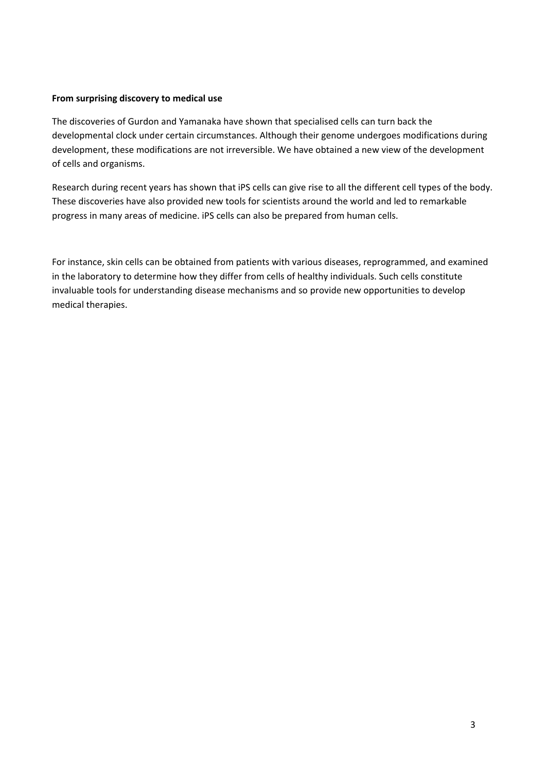#### **From surprising discovery to medical use**

The discoveries of Gurdon and Yamanaka have shown that specialised cells can turn back the developmental clock under certain circumstances. Although their genome undergoes modifications during development, these modifications are not irreversible. We have obtained a new view of the development of cells and organisms.

Research during recent years has shown that iPS cells can give rise to all the different cell types of the body. These discoveries have also provided new tools for scientists around the world and led to remarkable progress in many areas of medicine. iPS cells can also be prepared from human cells.

For instance, skin cells can be obtained from patients with various diseases, reprogrammed, and examined in the laboratory to determine how they differ from cells of healthy individuals. Such cells constitute invaluable tools for understanding disease mechanisms and so provide new opportunities to develop medical therapies.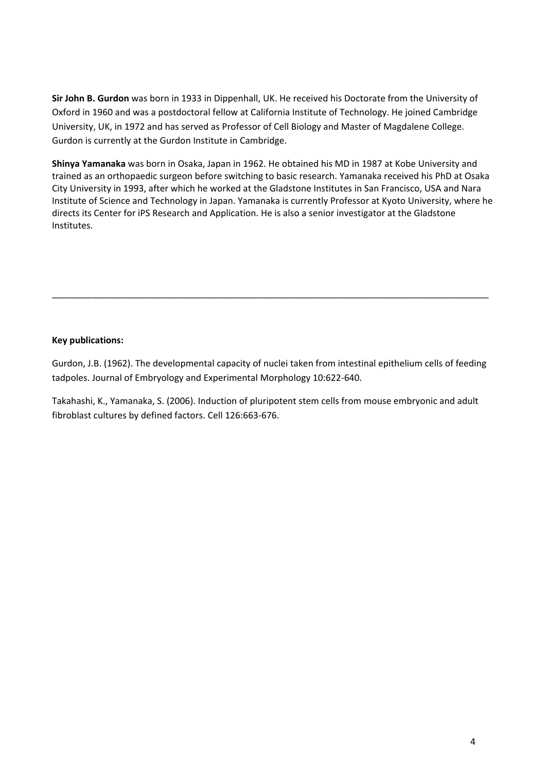**Sir John B. Gurdon** was born in 1933 in Dippenhall, UK. He received his Doctorate from the University of Oxford in 1960 and was a postdoctoral fellow at California Institute of Technology. He joined Cambridge University, UK, in 1972 and has served as Professor of Cell Biology and Master of Magdalene College. Gurdon is currently at the Gurdon Institute in Cambridge.

**Shinya Yamanaka** was born in Osaka, Japan in 1962. He obtained his MD in 1987 at Kobe University and trained as an orthopaedic surgeon before switching to basic research. Yamanaka received his PhD at Osaka City University in 1993, after which he worked at the Gladstone Institutes in San Francisco, USA and Nara Institute of Science and Technology in Japan. Yamanaka is currently Professor at Kyoto University, where he directs its Center for iPS Research and Application. He is also a senior investigator at the Gladstone Institutes.

#### **Key publications:**

Gurdon, J.B. (1962). The developmental capacity of nuclei taken from intestinal epithelium cells of feeding tadpoles. Journal of Embryology and Experimental Morphology 10:622-640.

\_\_\_\_\_\_\_\_\_\_\_\_\_\_\_\_\_\_\_\_\_\_\_\_\_\_\_\_\_\_\_\_\_\_\_\_\_\_\_\_\_\_\_\_\_\_\_\_\_\_\_\_\_\_\_\_\_\_\_\_\_\_\_\_\_\_\_\_\_\_\_\_\_\_\_\_\_\_\_\_\_\_\_\_\_\_\_

Takahashi, K., Yamanaka, S. (2006). Induction of pluripotent stem cells from mouse embryonic and adult fibroblast cultures by defined factors. Cell 126:663-676.